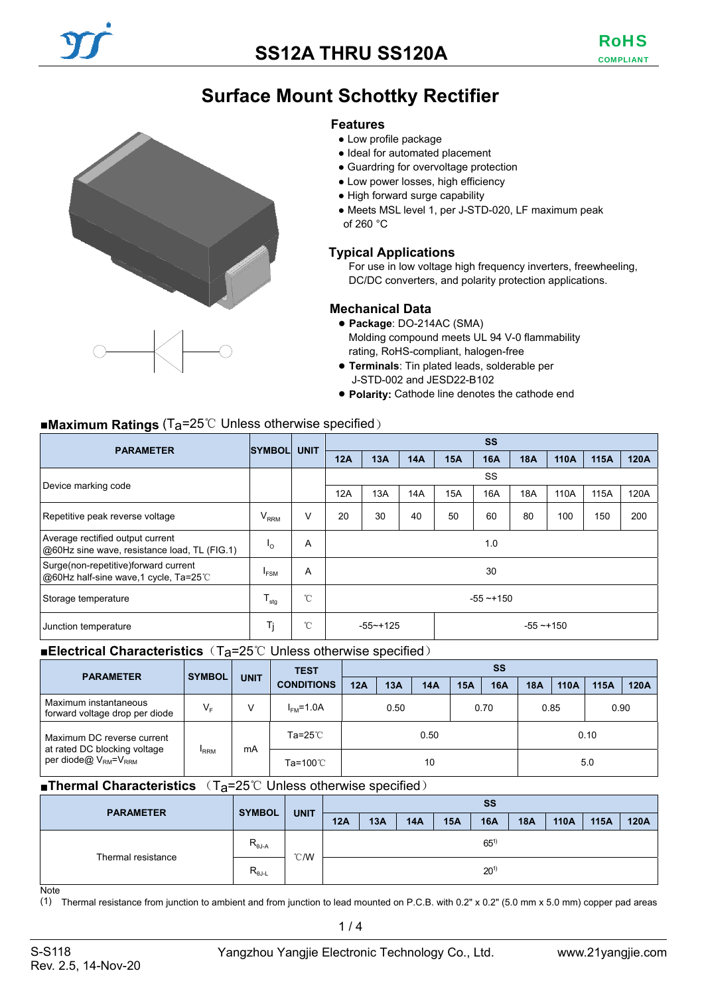# **Surface Mount Schottky Rectifier**

#### **Features**

- Low profile package
- Ideal for automated placement
- Guardring for overvoltage protection
- Low power losses, high efficiency
- High forward surge capability
- Meets MSL level 1, per J-STD-020, LF maximum peak of 260 °C

### **Typical Applications**

For use in low voltage high frequency inverters, freewheeling, DC/DC converters, and polarity protection applications.

### **Mechanical Data**

- **Package**: DO-214AC (SMA) Molding compound meets UL 94 V-0 flammability rating, RoHS-compliant, halogen-free
- **Terminals**: Tin plated leads, solderable per J-STD-002 and JESD22-B102
- **Polarity:** Cathode line denotes the cathode end

## ■**Maximum Ratings** (Ta=25℃ Unless otherwise specified)

| <b>PARAMETER</b>                                                                 | <b>SYMBOL</b>             | <b>UNIT</b>  | <b>SS</b>                    |     |     |     |            |            |      |      |      |
|----------------------------------------------------------------------------------|---------------------------|--------------|------------------------------|-----|-----|-----|------------|------------|------|------|------|
|                                                                                  |                           |              | 12A                          | 13A | 14A | 15A | <b>16A</b> | <b>18A</b> | 110A | 115A | 120A |
| Device marking code                                                              |                           |              |                              | SS  |     |     |            |            |      |      |      |
|                                                                                  |                           |              | 12A                          | 13A | 14A | 15A | 16A        | 18A        | 110A | 115A | 120A |
| Repetitive peak reverse voltage                                                  | $V_{RRM}$                 | V            | 20                           | 30  | 40  | 50  | 60         | 80         | 100  | 150  | 200  |
| Average rectified output current<br>@60Hz sine wave, resistance load, TL (FIG.1) | 'o                        | A            | 1.0                          |     |     |     |            |            |      |      |      |
| Surge(non-repetitive)forward current<br>@60Hz half-sine wave,1 cycle, Ta=25℃     | <sup>I</sup> FSM          | A            | 30                           |     |     |     |            |            |      |      |      |
| Storage temperature                                                              | $\mathsf{I}_{\text{stg}}$ | $^{\circ}$ C | $-55 - +150$                 |     |     |     |            |            |      |      |      |
| Junction temperature                                                             | Tj                        | $^{\circ}$ C | $-55 - +125$<br>$-55 - +150$ |     |     |     |            |            |      |      |      |

#### ■**Electrical Characteristics** (T<sub>a</sub>=25℃ Unless otherwise specified)

| <b>PARAMETER</b>                                           | <b>SYMBOL</b>  |             |                   |            | <b>TEST</b> | <b>SS</b> |            |            |            |      |      |      |  |  |
|------------------------------------------------------------|----------------|-------------|-------------------|------------|-------------|-----------|------------|------------|------------|------|------|------|--|--|
|                                                            |                | <b>UNIT</b> | <b>CONDITIONS</b> | <b>12A</b> | 13A         | 14A       | <b>15A</b> | <b>16A</b> | <b>18A</b> | 110A | 115A | 120A |  |  |
| Maximum instantaneous<br>forward voltage drop per diode    | V <sub>F</sub> | v           | $IFM=1.0A$        | 0.50       |             | 0.70      |            | 0.85       |            | 0.90 |      |      |  |  |
| Maximum DC reverse current<br>at rated DC blocking voltage |                | mA          | Ta=25℃            | 0.50       |             |           |            |            |            |      | 0.10 |      |  |  |
| per diode@ V <sub>RM</sub> =V <sub>RRM</sub>               | <b>RRM</b>     |             | Ta=100℃           | 10         |             |           |            |            | 5.0        |      |      |      |  |  |

#### ■**Thermal Characteristics** (T<sub>a</sub>=25℃ Unless otherwise specified)

| <b>PARAMETER</b>   | <b>SYMBOL</b>             |               | <b>SS</b> |     |     |     |            |            |      |      |      |
|--------------------|---------------------------|---------------|-----------|-----|-----|-----|------------|------------|------|------|------|
|                    |                           | <b>UNIT</b>   | 12A       | 13A | 14A | 15A | <b>16A</b> | <b>18A</b> | 110A | 115A | 120A |
| Thermal resistance | $R_{\theta J-A}$          | $\degree$ C/W | $65^{1}$  |     |     |     |            |            |      |      |      |
|                    | $R_{\theta J \text{-} L}$ |               |           |     |     |     | $20^{1}$   |            |      |      |      |
| $N = +$            |                           |               |           |     |     |     |            |            |      |      |      |

Note

(1) Thermal resistance from junction to ambient and from junction to lead mounted on P.C.B. with 0.2" x 0.2" (5.0 mm x 5.0 mm) copper pad areas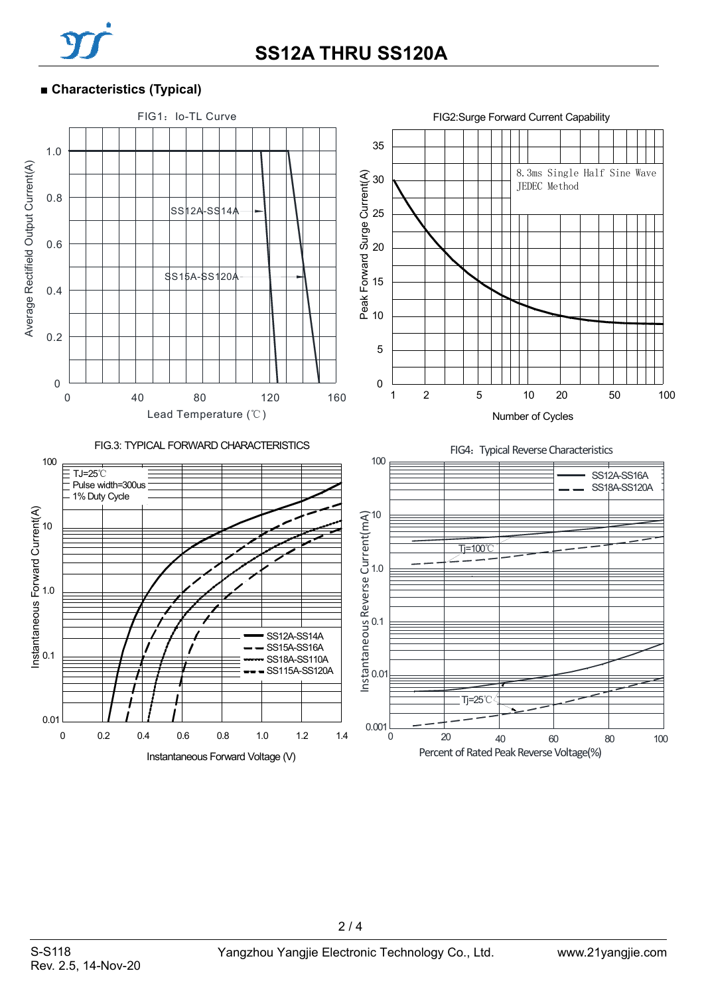

### ■ **Characteristics (Typical)**



 $2/4$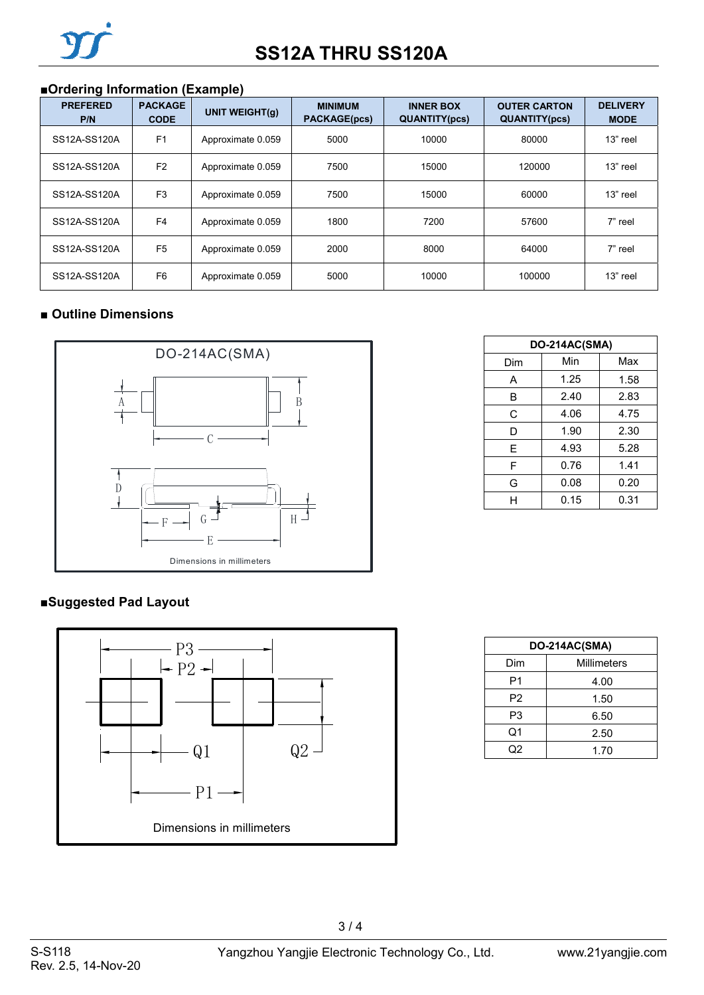# ■**Ordering Information (Example)**

| <b>PREFERED</b><br>P/N | <b>PACKAGE</b><br><b>CODE</b> | UNIT WEIGHT(q)    | <b>MINIMUM</b><br><b>PACKAGE(pcs)</b> | <b>INNER BOX</b><br><b>QUANTITY(pcs)</b> | <b>OUTER CARTON</b><br><b>QUANTITY(pcs)</b> | <b>DELIVERY</b><br><b>MODE</b> |
|------------------------|-------------------------------|-------------------|---------------------------------------|------------------------------------------|---------------------------------------------|--------------------------------|
| SS12A-SS120A           | F <sub>1</sub>                | Approximate 0.059 | 5000                                  | 10000                                    | 80000                                       | 13" reel                       |
| SS12A-SS120A           | F <sub>2</sub>                | Approximate 0.059 | 7500                                  | 15000                                    | 120000                                      | 13" reel                       |
| SS12A-SS120A           | F <sub>3</sub>                | Approximate 0.059 | 7500                                  | 15000                                    | 60000                                       | 13" reel                       |
| SS12A-SS120A           | F <sub>4</sub>                | Approximate 0.059 | 1800                                  | 7200                                     | 57600                                       | 7" reel                        |
| SS12A-SS120A           | F <sub>5</sub>                | Approximate 0.059 | 2000                                  | 8000                                     | 64000                                       | 7" reel                        |
| SS12A-SS120A           | F <sub>6</sub>                | Approximate 0.059 | 5000                                  | 10000                                    | 100000                                      | 13" reel                       |

## ■ **Outline Dimensions**



## **■Suggested Pad Layout**



| DO-214AC(SMA) |      |      |  |  |  |  |  |
|---------------|------|------|--|--|--|--|--|
| Dim           | Min  | Max  |  |  |  |  |  |
| А             | 1.25 | 1.58 |  |  |  |  |  |
| B             | 2.40 | 2.83 |  |  |  |  |  |
| C             | 4.06 | 4.75 |  |  |  |  |  |
| D             | 1.90 | 2.30 |  |  |  |  |  |
| E             | 4.93 | 5.28 |  |  |  |  |  |
| F             | 0.76 | 1.41 |  |  |  |  |  |
| G             | 0.08 | 0.20 |  |  |  |  |  |
| н             | 0.15 | 0.31 |  |  |  |  |  |

| DO-214AC(SMA)  |                    |  |  |  |  |
|----------------|--------------------|--|--|--|--|
| Dim            | <b>Millimeters</b> |  |  |  |  |
| P1             | 4.00               |  |  |  |  |
| P <sub>2</sub> | 1.50               |  |  |  |  |
| P3             | 6.50               |  |  |  |  |
| Q1             | 2.50               |  |  |  |  |
| Q2             | 1.70               |  |  |  |  |